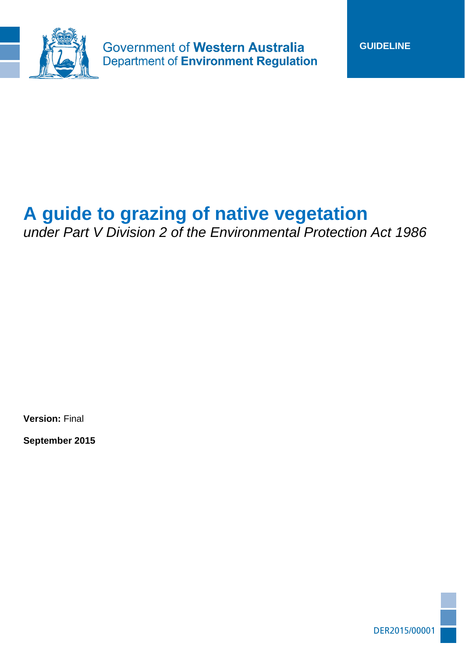

**Government of Western Australia Department of Environment Regulation** 

# **A guide to grazing of native vegetation**

*under Part V Division 2 of the Environmental Protection Act 1986*

**Version:** Final

**September 2015**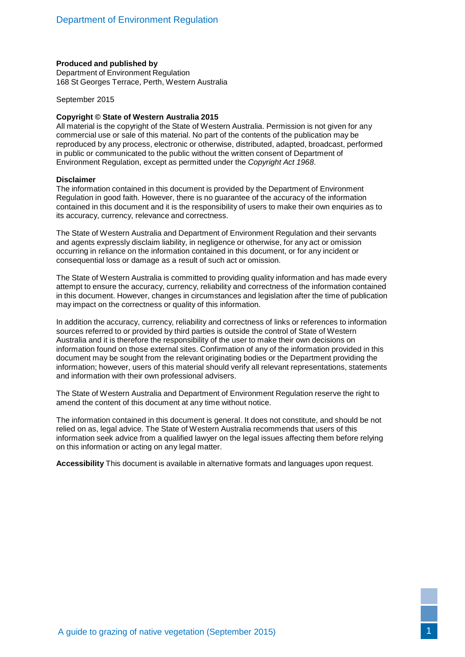#### **Produced and published by**

Department of Environment Regulation 168 St Georges Terrace, Perth, Western Australia

September 2015

#### **Copyright © State of Western Australia 2015**

All material is the copyright of the State of Western Australia. Permission is not given for any commercial use or sale of this material. No part of the contents of the publication may be reproduced by any process, electronic or otherwise, distributed, adapted, broadcast, performed in public or communicated to the public without the written consent of Department of Environment Regulation, except as permitted under the *Copyright Act 1968*.

#### **Disclaimer**

The information contained in this document is provided by the Department of Environment Regulation in good faith. However, there is no guarantee of the accuracy of the information contained in this document and it is the responsibility of users to make their own enquiries as to its accuracy, currency, relevance and correctness.

The State of Western Australia and Department of Environment Regulation and their servants and agents expressly disclaim liability, in negligence or otherwise, for any act or omission occurring in reliance on the information contained in this document, or for any incident or consequential loss or damage as a result of such act or omission.

The State of Western Australia is committed to providing quality information and has made every attempt to ensure the accuracy, currency, reliability and correctness of the information contained in this document. However, changes in circumstances and legislation after the time of publication may impact on the correctness or quality of this information.

In addition the accuracy, currency, reliability and correctness of links or references to information sources referred to or provided by third parties is outside the control of State of Western Australia and it is therefore the responsibility of the user to make their own decisions on information found on those external sites. Confirmation of any of the information provided in this document may be sought from the relevant originating bodies or the Department providing the information; however, users of this material should verify all relevant representations, statements and information with their own professional advisers.

The State of Western Australia and Department of Environment Regulation reserve the right to amend the content of this document at any time without notice.

The information contained in this document is general. It does not constitute, and should be not relied on as, legal advice. The State of Western Australia recommends that users of this information seek advice from a qualified lawyer on the legal issues affecting them before relying on this information or acting on any legal matter.

**Accessibility** This document is available in alternative formats and languages upon request.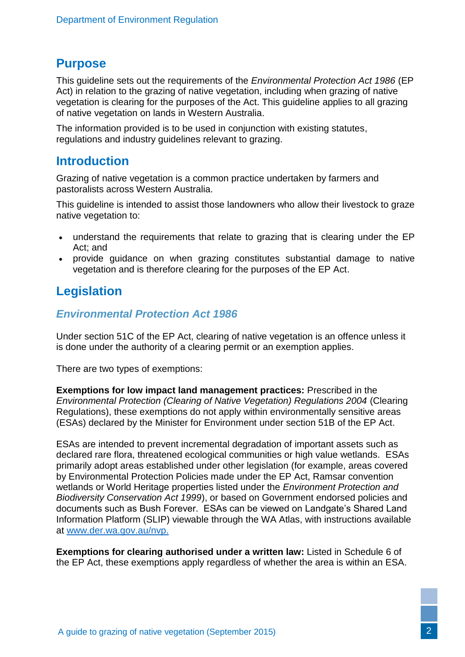# **Purpose**

This guideline sets out the requirements of the *Environmental Protection Act 1986* (EP Act) in relation to the grazing of native vegetation, including when grazing of native vegetation is clearing for the purposes of the Act. This guideline applies to all grazing of native vegetation on lands in Western Australia.

The information provided is to be used in conjunction with existing statutes, regulations and industry guidelines relevant to grazing.

# **Introduction**

Grazing of native vegetation is a common practice undertaken by farmers and pastoralists across Western Australia.

This guideline is intended to assist those landowners who allow their livestock to graze native vegetation to:

- understand the requirements that relate to grazing that is clearing under the EP Act; and
- provide guidance on when grazing constitutes substantial damage to native vegetation and is therefore clearing for the purposes of the EP Act.

# **Legislation**

#### *Environmental Protection Act 1986*

Under section 51C of the EP Act, clearing of native vegetation is an offence unless it is done under the authority of a clearing permit or an exemption applies.

There are two types of exemptions:

**Exemptions for low impact land management practices:** Prescribed in the *Environmental Protection (Clearing of Native Vegetation) Regulations 2004* (Clearing Regulations), these exemptions do not apply within environmentally sensitive areas (ESAs) declared by the Minister for Environment under section 51B of the EP Act.

ESAs are intended to prevent incremental degradation of important assets such as declared rare flora, threatened ecological communities or high value wetlands. ESAs primarily adopt areas established under other legislation (for example, areas covered by Environmental Protection Policies made under the EP Act, Ramsar convention wetlands or World Heritage properties listed under the *Environment Protection and Biodiversity Conservation Act 1999*), or based on Government endorsed policies and documents such as Bush Forever. ESAs can be viewed on Landgate's Shared Land Information Platform (SLIP) viewable through the WA Atlas, with instructions available at [www.der.wa.gov.au/nvp.](http://www.der.wa.gov.au/nvp)

**Exemptions for clearing authorised under a written law:** Listed in Schedule 6 of the EP Act, these exemptions apply regardless of whether the area is within an ESA.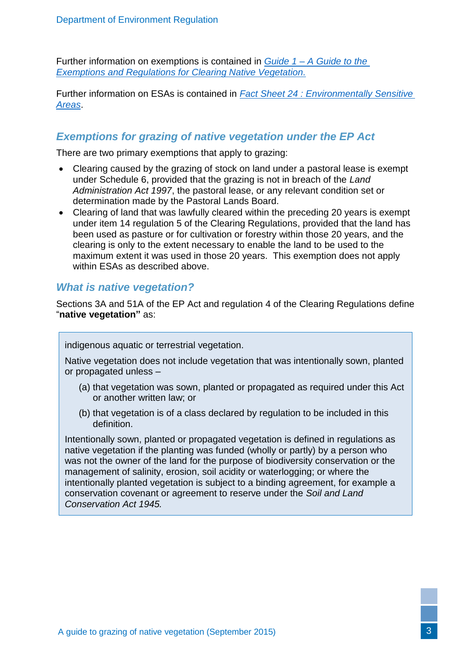Further information on exemptions is contained in *Guide 1 – [A Guide to the](http://www.der.wa.gov.au/our-work/clearing-permits/48-guidelines-clearing-permits)  [Exemptions and Regulations for Clearing Native Vegetation.](http://www.der.wa.gov.au/our-work/clearing-permits/48-guidelines-clearing-permits)*

Further information on ESAs is contained in *[Fact Sheet 24 : Environmentally Sensitive](http://www.der.wa.gov.au/your-environment/environmentally-sensitive-areas)  [Areas](http://www.der.wa.gov.au/your-environment/environmentally-sensitive-areas)*.

## *Exemptions for grazing of native vegetation under the EP Act*

There are two primary exemptions that apply to grazing:

- Clearing caused by the grazing of stock on land under a pastoral lease is exempt under Schedule 6, provided that the grazing is not in breach of the *Land Administration Act 1997*, the pastoral lease, or any relevant condition set or determination made by the Pastoral Lands Board.
- Clearing of land that was lawfully cleared within the preceding 20 years is exempt under item 14 regulation 5 of the Clearing Regulations, provided that the land has been used as pasture or for cultivation or forestry within those 20 years, and the clearing is only to the extent necessary to enable the land to be used to the maximum extent it was used in those 20 years. This exemption does not apply within ESAs as described above.

### *What is native vegetation?*

Sections 3A and 51A of the EP Act and regulation 4 of the Clearing Regulations define "**native vegetation"** as:

indigenous aquatic or terrestrial vegetation.

Native vegetation does not include vegetation that was intentionally sown, planted or propagated unless –

- (a) that vegetation was sown, planted or propagated as required under this Act or another written law; or
- (b) that vegetation is of a class declared by regulation to be included in this definition.

Intentionally sown, planted or propagated vegetation is defined in regulations as native vegetation if the planting was funded (wholly or partly) by a person who was not the owner of the land for the purpose of biodiversity conservation or the management of salinity, erosion, soil acidity or waterlogging; or where the intentionally planted vegetation is subject to a binding agreement, for example a conservation covenant or agreement to reserve under the *Soil and Land Conservation Act 1945.*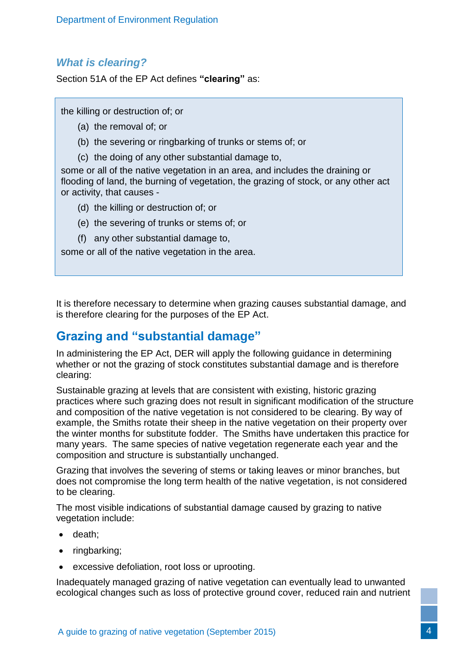## *What is clearing?*

Section 51A of the EP Act defines **"clearing"** as:

the killing or destruction of; or

- (a) the removal of; or
- (b) the severing or ringbarking of trunks or stems of; or
- (c) the doing of any other substantial damage to,

some or all of the native vegetation in an area, and includes the draining or flooding of land, the burning of vegetation, the grazing of stock, or any other act or activity, that causes -

- (d) the killing or destruction of; or
- (e) the severing of trunks or stems of; or
- (f) any other substantial damage to,

some or all of the native vegetation in the area.

It is therefore necessary to determine when grazing causes substantial damage, and is therefore clearing for the purposes of the EP Act.

# **Grazing and "substantial damage"**

In administering the EP Act, DER will apply the following guidance in determining whether or not the grazing of stock constitutes substantial damage and is therefore clearing:

Sustainable grazing at levels that are consistent with existing, historic grazing practices where such grazing does not result in significant modification of the structure and composition of the native vegetation is not considered to be clearing. By way of example, the Smiths rotate their sheep in the native vegetation on their property over the winter months for substitute fodder. The Smiths have undertaken this practice for many years. The same species of native vegetation regenerate each year and the composition and structure is substantially unchanged.

Grazing that involves the severing of stems or taking leaves or minor branches, but does not compromise the long term health of the native vegetation, is not considered to be clearing.

The most visible indications of substantial damage caused by grazing to native vegetation include:

- death:
- ringbarking;
- excessive defoliation, root loss or uprooting.

Inadequately managed grazing of native vegetation can eventually lead to unwanted ecological changes such as loss of protective ground cover, reduced rain and nutrient